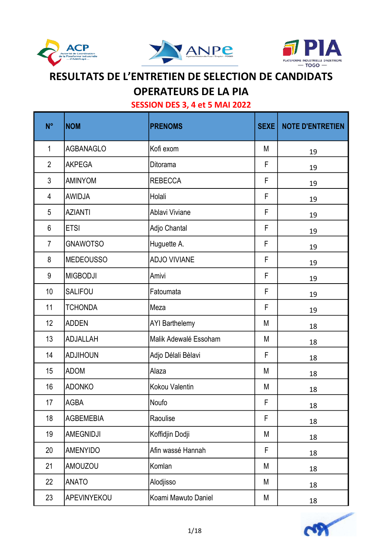





### OPERATEURS DE LA PIA

| $N^{\circ}$    | <b>NOM</b>       | <b>PRENOMS</b>        | <b>SEXE</b> | <b>NOTE D'ENTRETIEN</b> |
|----------------|------------------|-----------------------|-------------|-------------------------|
| $\mathbf{1}$   | <b>AGBANAGLO</b> | Kofi exom             | M           | 19                      |
| $\overline{2}$ | <b>AKPEGA</b>    | Ditorama              | F           | 19                      |
| $\mathfrak{Z}$ | <b>AMINYOM</b>   | <b>REBECCA</b>        | F           | 19                      |
| 4              | <b>AWIDJA</b>    | Holali                | F           | 19                      |
| 5              | <b>AZIANTI</b>   | Ablavi Viviane        | F           | 19                      |
| 6              | <b>ETSI</b>      | Adjo Chantal          | F           | 19                      |
| $\overline{7}$ | <b>GNAWOTSO</b>  | Huguette A.           | F           | 19                      |
| 8              | <b>MEDEOUSSO</b> | <b>ADJO VIVIANE</b>   | F           | 19                      |
| 9              | <b>MIGBODJI</b>  | Amivi                 | F           | 19                      |
| 10             | <b>SALIFOU</b>   | Fatoumata             | F           | 19                      |
| 11             | <b>TCHONDA</b>   | Meza                  | F           | 19                      |
| 12             | <b>ADDEN</b>     | <b>AYI Barthelemy</b> | M           | 18                      |
| 13             | <b>ADJALLAH</b>  | Malik Adewalé Essoham | M           | 18                      |
| 14             | <b>ADJIHOUN</b>  | Adjo Délali Bèlavi    | F           | 18                      |
| 15             | <b>ADOM</b>      | Alaza                 | M           | 18                      |
| 16             | <b>ADONKO</b>    | Kokou Valentin        | M           | 18                      |
| 17             | <b>AGBA</b>      | Noufo                 | F           | 18                      |
| 18             | <b>AGBEMEBIA</b> | Raoulise              | F           | 18                      |
| 19             | AMEGNIDJI        | Koffidjin Dodji       | M           | 18                      |
| 20             | <b>AMENYIDO</b>  | Afin wassé Hannah     | F           | 18                      |
| 21             | <b>AMOUZOU</b>   | Komlan                | M           | 18                      |
| 22             | <b>ANATO</b>     | Alodjisso             | M           | 18                      |
| 23             | APEVINYEKOU      | Koami Mawuto Daniel   | М           | 18                      |

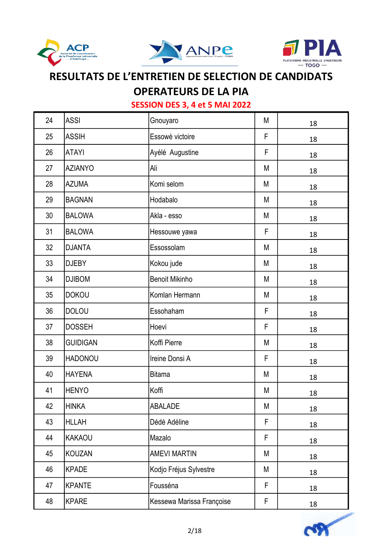





## OPERATEURS DE LA PIA

| 24 | <b>ASSI</b>     | Gnouyaro                  | M | 18 |
|----|-----------------|---------------------------|---|----|
| 25 | <b>ASSIH</b>    | Essowè victoire           | F | 18 |
| 26 | <b>ATAYI</b>    | Ayélé Augustine           | F | 18 |
| 27 | <b>AZIANYO</b>  | Ali                       | M | 18 |
| 28 | <b>AZUMA</b>    | Komi selom                | M | 18 |
| 29 | <b>BAGNAN</b>   | Hodabalo                  | M | 18 |
| 30 | <b>BALOWA</b>   | Akla - esso               | M | 18 |
| 31 | <b>BALOWA</b>   | Hessouwe yawa             | F | 18 |
| 32 | <b>DJANTA</b>   | Essossolam                | M | 18 |
| 33 | <b>DJEBY</b>    | Kokou jude                | М | 18 |
| 34 | <b>DJIBOM</b>   | <b>Benoit Mikinho</b>     | M | 18 |
| 35 | <b>DOKOU</b>    | Komlan Hermann            | M | 18 |
| 36 | <b>DOLOU</b>    | Essohaham                 | F | 18 |
| 37 | <b>DOSSEH</b>   | Hoevi                     | F | 18 |
| 38 | <b>GUIDIGAN</b> | Koffi Pierre              | M | 18 |
| 39 | <b>HADONOU</b>  | Ireine Donsi A            | F | 18 |
| 40 | <b>HAYENA</b>   | <b>Bitama</b>             | M | 18 |
| 41 | <b>HENYO</b>    | Koffi                     | М | 18 |
| 42 | <b>HINKA</b>    | ABALADE                   | M | 18 |
| 43 | <b>HLLAH</b>    | Dédé Adéline              | F | 18 |
| 44 | <b>KAKAOU</b>   | Mazalo                    | F | 18 |
| 45 | <b>KOUZAN</b>   | <b>AMEVI MARTIN</b>       | M | 18 |
| 46 | <b>KPADE</b>    | Kodjo Fréjus Sylvestre    | M | 18 |
| 47 | <b>KPANTE</b>   | Fousséna                  | F | 18 |
| 48 | <b>KPARE</b>    | Kessewa Marissa Françoise | F | 18 |

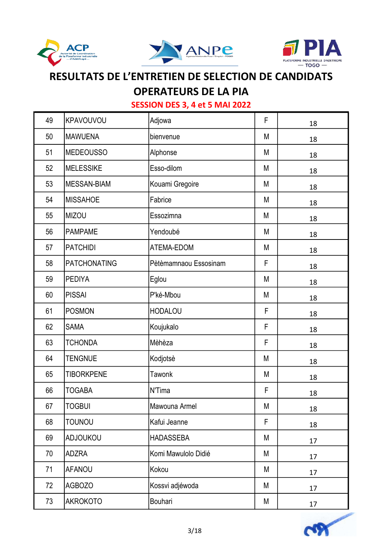





## OPERATEURS DE LA PIA

| 49 | KPAVOUVOU           | Adjowa                | F | 18 |
|----|---------------------|-----------------------|---|----|
| 50 | <b>MAWUENA</b>      | bienvenue             | M | 18 |
| 51 | <b>MEDEOUSSO</b>    | Alphonse              | M | 18 |
| 52 | <b>MELESSIKE</b>    | Esso-dilom            | M | 18 |
| 53 | <b>MESSAN-BIAM</b>  | Kouami Gregoire       | M | 18 |
| 54 | <b>MISSAHOE</b>     | Fabrice               | M | 18 |
| 55 | <b>MIZOU</b>        | Essozimna             | M | 18 |
| 56 | <b>PAMPAME</b>      | Yendoubé              | M | 18 |
| 57 | <b>PATCHIDI</b>     | ATEMA-EDOM            | M | 18 |
| 58 | <b>PATCHONATING</b> | Pètèmamnaou Essosinam | F | 18 |
| 59 | <b>PEDIYA</b>       | Eglou                 | M | 18 |
| 60 | <b>PISSAI</b>       | P'ké-Mbou             | М | 18 |
| 61 | <b>POSMON</b>       | <b>HODALOU</b>        | F | 18 |
| 62 | <b>SAMA</b>         | Koujukalo             | F | 18 |
| 63 | <b>TCHONDA</b>      | Mèhèza                | F | 18 |
| 64 | <b>TENGNUE</b>      | Kodjotsè              | M | 18 |
| 65 | <b>TIBORKPENE</b>   | <b>Tawonk</b>         | M | 18 |
| 66 | <b>TOGABA</b>       | N'Tima                | F | 18 |
| 67 | <b>TOGBUI</b>       | Mawouna Armel         | М | 18 |
| 68 | <b>TOUNOU</b>       | Kafui Jeanne          | F | 18 |
| 69 | <b>ADJOUKOU</b>     | <b>HADASSEBA</b>      | M | 17 |
| 70 | <b>ADZRA</b>        | Komi Mawulolo Didié   | M | 17 |
| 71 | AFANOU              | Kokou                 | M | 17 |
| 72 | <b>AGBOZO</b>       | Kossvi adjéwoda       | M | 17 |
| 73 | <b>AKROKOTO</b>     | Bouhari               | М | 17 |

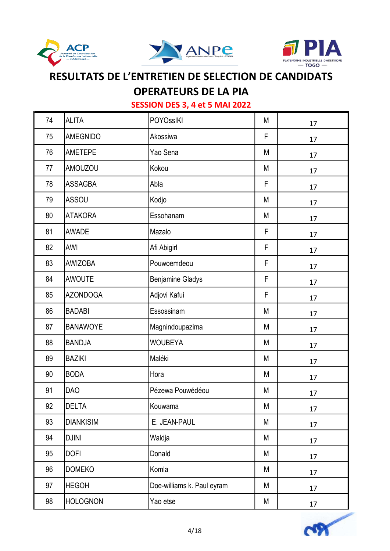





OPERATEURS DE LA PIA

| 74 | <b>ALITA</b>     | <b>POYOssIKI</b>           | M           | 17 |
|----|------------------|----------------------------|-------------|----|
| 75 | <b>AMEGNIDO</b>  | Akossiwa                   | F           | 17 |
| 76 | <b>AMETEPE</b>   | Yao Sena                   | M           | 17 |
| 77 | <b>AMOUZOU</b>   | Kokou                      | M           | 17 |
| 78 | <b>ASSAGBA</b>   | Abla                       | F           | 17 |
| 79 | <b>ASSOU</b>     | Kodjo                      | M           | 17 |
| 80 | <b>ATAKORA</b>   | Essohanam                  | M           | 17 |
| 81 | <b>AWADE</b>     | Mazalo                     | F           | 17 |
| 82 | AWI              | Afi Abigirl                | F           | 17 |
| 83 | <b>AWIZOBA</b>   | Pouwoemdeou                | $\mathsf F$ | 17 |
| 84 | <b>AWOUTE</b>    | <b>Benjamine Gladys</b>    | $\mathsf F$ | 17 |
| 85 | <b>AZONDOGA</b>  | Adjovi Kafui               | $\mathsf F$ | 17 |
| 86 | <b>BADABI</b>    | Essossinam                 | M           | 17 |
| 87 | <b>BANAWOYE</b>  | Magnindoupazima            | M           | 17 |
| 88 | <b>BANDJA</b>    | <b>WOUBEYA</b>             | M           | 17 |
| 89 | <b>BAZIKI</b>    | Maléki                     | M           | 17 |
| 90 | <b>BODA</b>      | Hora                       | M           | 17 |
| 91 | <b>DAO</b>       | Pézewa Pouwédéou           | M           | 17 |
| 92 | <b>DELTA</b>     | Kouwama                    | М           | 17 |
| 93 | <b>DIANKISIM</b> | E. JEAN-PAUL               | M           | 17 |
| 94 | <b>DJINI</b>     | Waldja                     | M           | 17 |
| 95 | <b>DOFI</b>      | Donald                     | M           | 17 |
| 96 | <b>DOMEKO</b>    | Komla                      | M           | 17 |
| 97 | <b>HEGOH</b>     | Doe-williams k. Paul eyram | M           | 17 |
| 98 | <b>HOLOGNON</b>  | Yao etse                   | M           | 17 |

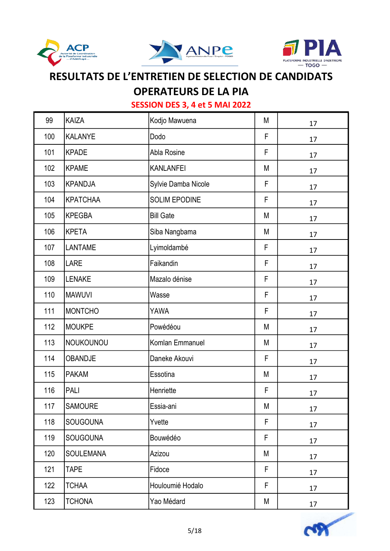





### OPERATEURS DE LA PIA

| 99  | <b>KAIZA</b>     | Kodjo Mawuena        | M | 17 |
|-----|------------------|----------------------|---|----|
| 100 | <b>KALANYE</b>   | Dodo                 | F | 17 |
| 101 | <b>KPADE</b>     | Abla Rosine          | F | 17 |
| 102 | <b>KPAME</b>     | <b>KANLANFEI</b>     | M | 17 |
| 103 | <b>KPANDJA</b>   | Sylvie Damba Nicole  | F | 17 |
| 104 | <b>KPATCHAA</b>  | <b>SOLIM EPODINE</b> | F | 17 |
| 105 | <b>KPEGBA</b>    | <b>Bill Gate</b>     | M | 17 |
| 106 | <b>KPETA</b>     | Siba Nangbama        | M | 17 |
| 107 | LANTAME          | Lyimoldambé          | F | 17 |
| 108 | <b>LARE</b>      | Faikandin            | F | 17 |
| 109 | <b>LENAKE</b>    | Mazalo dénise        | F | 17 |
| 110 | <b>MAWUVI</b>    | Wasse                | F | 17 |
| 111 | <b>MONTCHO</b>   | YAWA                 | F | 17 |
| 112 | <b>MOUKPE</b>    | Powédéou             | M | 17 |
| 113 | NOUKOUNOU        | Komlan Emmanuel      | M | 17 |
| 114 | <b>OBANDJE</b>   | Daneke Akouvi        | F | 17 |
| 115 | <b>PAKAM</b>     | Essotina             | M | 17 |
| 116 | PALI             | Henriette            | F | 17 |
| 117 | SAMOURE          | Essia-ani            | М | 17 |
| 118 | <b>SOUGOUNA</b>  | Yvette               | F | 17 |
| 119 | <b>SOUGOUNA</b>  | Bouwédéo             | F | 17 |
| 120 | <b>SOULEMANA</b> | Azizou               | M | 17 |
| 121 | <b>TAPE</b>      | Fidoce               | F | 17 |
| 122 | <b>TCHAA</b>     | Houloumié Hodalo     | F | 17 |
| 123 | <b>TCHONA</b>    | Yao Médard           | М | 17 |

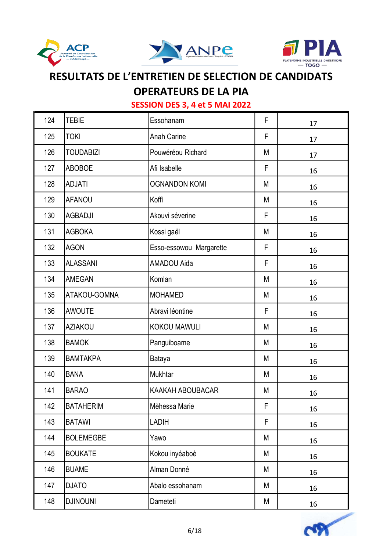





### **OPERATEURS DE LA PIA**

| 124 | <b>TEBIE</b>     | Essohanam               | F  | 17 |
|-----|------------------|-------------------------|----|----|
| 125 | <b>TOKI</b>      | <b>Anah Carine</b>      | F  | 17 |
| 126 | <b>TOUDABIZI</b> | Pouwéréou Richard       | M  | 17 |
| 127 | <b>ABOBOE</b>    | Afi Isabelle            | F  | 16 |
| 128 | <b>ADJATI</b>    | <b>OGNANDON KOMI</b>    | M  | 16 |
| 129 | <b>AFANOU</b>    | Koffi                   | M  | 16 |
| 130 | <b>AGBADJI</b>   | Akouvi séverine         | F  | 16 |
| 131 | <b>AGBOKA</b>    | Kossi gaël              | M  | 16 |
| 132 | <b>AGON</b>      | Esso-essowou Margarette | F  | 16 |
| 133 | <b>ALASSANI</b>  | <b>AMADOU Aida</b>      | F  | 16 |
| 134 | <b>AMEGAN</b>    | Komlan                  | M  | 16 |
| 135 | ATAKOU-GOMNA     | <b>MOHAMED</b>          | M  | 16 |
| 136 | <b>AWOUTE</b>    | Abravi léontine         | F  | 16 |
| 137 | <b>AZIAKOU</b>   | KOKOU MAWULI            | M  | 16 |
| 138 | <b>BAMOK</b>     | Panguiboame             | M  | 16 |
| 139 | <b>BAMTAKPA</b>  | Bataya                  | M  | 16 |
| 140 | <b>BANA</b>      | Mukhtar                 | M  | 16 |
| 141 | <b>BARAO</b>     | KAAKAH ABOUBACAR        | M  | 16 |
| 142 | <b>BATAHERIM</b> | Mèhessa Marie           | F. | 16 |
| 143 | <b>BATAWI</b>    | <b>LADIH</b>            | F  | 16 |
| 144 | <b>BOLEMEGBE</b> | Yawo                    | M  | 16 |
| 145 | <b>BOUKATE</b>   | Kokou inyéaboè          | М  | 16 |
| 146 | <b>BUAME</b>     | Alman Donné             | M  | 16 |
| 147 | <b>DJATO</b>     | Abalo essohanam         | М  | 16 |
| 148 | <b>DJINOUNI</b>  | Dameteti                | M  | 16 |

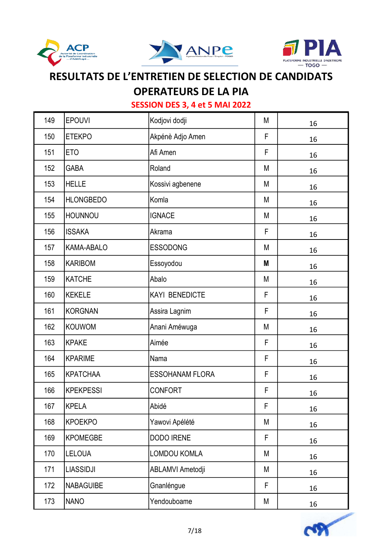





## OPERATEURS DE LA PIA

| 149 | <b>EPOUVI</b>    | Kodjovi dodji          | M | 16 |
|-----|------------------|------------------------|---|----|
| 150 | <b>ETEKPO</b>    | Akpénè Adjo Amen       | F | 16 |
| 151 | ET <sub>O</sub>  | Afi Amen               | F | 16 |
| 152 | <b>GABA</b>      | Roland                 | M | 16 |
| 153 | <b>HELLE</b>     | Kossivi agbenene       | M | 16 |
| 154 | <b>HLONGBEDO</b> | Komla                  | M | 16 |
| 155 | <b>HOUNNOU</b>   | <b>IGNACE</b>          | М | 16 |
| 156 | <b>ISSAKA</b>    | Akrama                 | F | 16 |
| 157 | KAMA-ABALO       | <b>ESSODONG</b>        | М | 16 |
| 158 | <b>KARIBOM</b>   | Essoyodou              | Μ | 16 |
| 159 | <b>KATCHE</b>    | Abalo                  | M | 16 |
| 160 | <b>KEKELE</b>    | <b>KAYI BENEDICTE</b>  | F | 16 |
| 161 | <b>KORGNAN</b>   | Assira Lagnim          | F | 16 |
| 162 | <b>KOUWOM</b>    | Anani Améwuga          | M | 16 |
| 163 | <b>KPAKE</b>     | Aimée                  | F | 16 |
| 164 | <b>KPARIME</b>   | Nama                   | F | 16 |
| 165 | <b>KPATCHAA</b>  | <b>ESSOHANAM FLORA</b> | F | 16 |
| 166 | <b>KPEKPESSI</b> | <b>CONFORT</b>         | F | 16 |
| 167 | <b>KPELA</b>     | Abidé                  | F | 16 |
| 168 | <b>KPOEKPO</b>   | Yawovi Apélété         | M | 16 |
| 169 | <b>KPOMEGBE</b>  | <b>DODO IRENE</b>      | F | 16 |
| 170 | LELOUA           | LOMDOU KOMLA           | M | 16 |
| 171 | <b>LIASSIDJI</b> | ABLAMVI Ametodji       | M | 16 |
| 172 | <b>NABAGUIBE</b> | Gnanléngue             | F | 16 |
| 173 | <b>NANO</b>      | Yendouboame            | М | 16 |

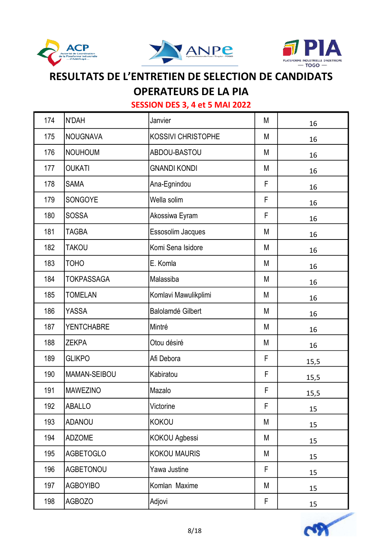





## OPERATEURS DE LA PIA

| 174 | N'DAH             | Janvier                   | M | 16   |
|-----|-------------------|---------------------------|---|------|
| 175 | <b>NOUGNAVA</b>   | <b>KOSSIVI CHRISTOPHE</b> | M | 16   |
| 176 | <b>NOUHOUM</b>    | ABDOU-BASTOU              | M | 16   |
| 177 | <b>OUKATI</b>     | <b>GNANDI KONDI</b>       | M | 16   |
| 178 | <b>SAMA</b>       | Ana-Egnindou              | F | 16   |
| 179 | SONGOYE           | Wella solim               | F | 16   |
| 180 | <b>SOSSA</b>      | Akossiwa Eyram            | F | 16   |
| 181 | <b>TAGBA</b>      | Essosolim Jacques         | M | 16   |
| 182 | <b>TAKOU</b>      | Komi Sena Isidore         | M | 16   |
| 183 | <b>TOHO</b>       | E. Komla                  | M | 16   |
| 184 | <b>TOKPASSAGA</b> | Malassiba                 | M | 16   |
| 185 | <b>TOMELAN</b>    | Komlavi Mawulikplimi      | M | 16   |
| 186 | <b>YASSA</b>      | <b>Balolamdé Gilbert</b>  | M | 16   |
| 187 | <b>YENTCHABRE</b> | Mintré                    | M | 16   |
| 188 | <b>ZEKPA</b>      | Otou désiré               | M | 16   |
| 189 | <b>GLIKPO</b>     | Afi Debora                | F | 15,5 |
| 190 | MAMAN-SEIBOU      | Kabiratou                 | F | 15,5 |
| 191 | <b>MAWEZINO</b>   | Mazalo                    | F | 15,5 |
| 192 | ABALLO            | Victorine                 | F | 15   |
| 193 | <b>ADANOU</b>     | KOKOU                     | M | 15   |
| 194 | <b>ADZOME</b>     | KOKOU Agbessi             | M | 15   |
| 195 | <b>AGBETOGLO</b>  | <b>KOKOU MAURIS</b>       | М | 15   |
| 196 | <b>AGBETONOU</b>  | Yawa Justine              | F | 15   |
| 197 | <b>AGBOYIBO</b>   | Komlan Maxime             | M | 15   |
| 198 | <b>AGBOZO</b>     | Adjovi                    | F | 15   |

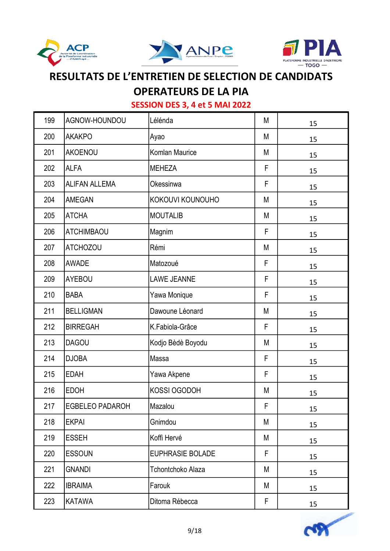





## **OPERATEURS DE LA PIA**

| 199 | AGNOW-HOUNDOU          | Lélénda                 | M | 15 |
|-----|------------------------|-------------------------|---|----|
| 200 | <b>AKAKPO</b>          | Ayao                    | M | 15 |
| 201 | <b>AKOENOU</b>         | Komlan Maurice          | M | 15 |
| 202 | <b>ALFA</b>            | <b>MEHEZA</b>           | F | 15 |
| 203 | <b>ALIFAN ALLEMA</b>   | Okessinwa               | F | 15 |
| 204 | <b>AMEGAN</b>          | KOKOUVI KOUNOUHO        | M | 15 |
| 205 | <b>ATCHA</b>           | <b>MOUTALIB</b>         | M | 15 |
| 206 | <b>ATCHIMBAOU</b>      | Magnim                  | F | 15 |
| 207 | <b>ATCHOZOU</b>        | Rémi                    | M | 15 |
| 208 | <b>AWADE</b>           | Matozoué                | F | 15 |
| 209 | <b>AYEBOU</b>          | <b>LAWE JEANNE</b>      | F | 15 |
| 210 | <b>BABA</b>            | Yawa Monique            | F | 15 |
| 211 | <b>BELLIGMAN</b>       | Dawoune Léonard         | M | 15 |
| 212 | <b>BIRREGAH</b>        | K.Fabiola-Grâce         | F | 15 |
| 213 | <b>DAGOU</b>           | Kodjo Bèdè Boyodu       | M | 15 |
| 214 | <b>DJOBA</b>           | Massa                   | F | 15 |
| 215 | <b>EDAH</b>            | Yawa Akpene             | F | 15 |
| 216 | <b>EDOH</b>            | KOSSI OGODOH            | M | 15 |
| 217 | <b>EGBELEO PADAROH</b> | Mazalou                 | F | 15 |
| 218 | <b>EKPAI</b>           | Gnimdou                 | M | 15 |
| 219 | <b>ESSEH</b>           | Koffi Hervé             | M | 15 |
| 220 | <b>ESSOUN</b>          | <b>EUPHRASIE BOLADE</b> | F | 15 |
| 221 | <b>GNANDI</b>          | Tchontchoko Alaza       | M | 15 |
| 222 | <b>IBRAIMA</b>         | Farouk                  | M | 15 |
| 223 | <b>KATAWA</b>          | Ditoma Rébecca          | F | 15 |

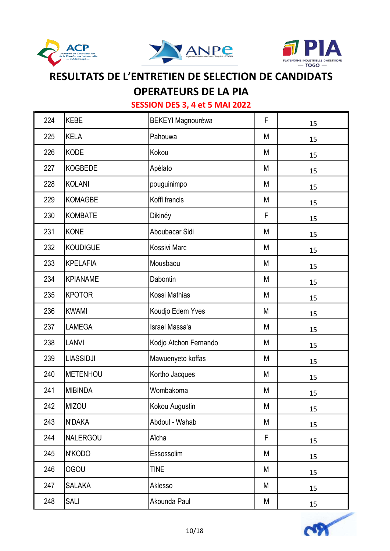





## OPERATEURS DE LA PIA

| 224 | <b>KEBE</b>      | <b>BEKEYI Magnouréwa</b> | F  | 15 |
|-----|------------------|--------------------------|----|----|
| 225 | <b>KELA</b>      | Pahouwa                  | M  | 15 |
| 226 | <b>KODE</b>      | Kokou                    | М  | 15 |
| 227 | <b>KOGBEDE</b>   | Apélato                  | M  | 15 |
| 228 | <b>KOLANI</b>    | pouguinimpo              | M  | 15 |
| 229 | <b>KOMAGBE</b>   | Koffi francis            | M  | 15 |
| 230 | <b>KOMBATE</b>   | Dikinéy                  | F  | 15 |
| 231 | KONE             | Aboubacar Sidi           | M  | 15 |
| 232 | <b>KOUDIGUE</b>  | Kossivi Marc             | M  | 15 |
| 233 | <b>KPELAFIA</b>  | Mousbaou                 | M  | 15 |
| 234 | <b>KPIANAME</b>  | Dabontin                 | M  | 15 |
| 235 | <b>KPOTOR</b>    | Kossi Mathias            | M  | 15 |
| 236 | <b>KWAMI</b>     | Koudjo Edem Yves         | M  | 15 |
| 237 | LAMEGA           | Israel Massa'a           | М  | 15 |
| 238 | <b>LANVI</b>     | Kodjo Atchon Fernando    | М  | 15 |
| 239 | <b>LIASSIDJI</b> | Mawuenyeto koffas        | М  | 15 |
| 240 | <b>METENHOU</b>  | Kortho Jacques           | M  | 15 |
| 241 | <b>MIBINDA</b>   | Wombakoma                | M  | 15 |
| 242 | <b>MIZOU</b>     | Kokou Augustin           | M  | 15 |
| 243 | N'DAKA           | Abdoul - Wahab           | M  | 15 |
| 244 | NALERGOU         | Aïcha                    | F. | 15 |
| 245 | N'KODO           | Essossolim               | M  | 15 |
| 246 | <b>OGOU</b>      | <b>TINE</b>              | M  | 15 |
| 247 | <b>SALAKA</b>    | Aklesso                  | M  | 15 |
| 248 | <b>SALI</b>      | Akounda Paul             | М  | 15 |

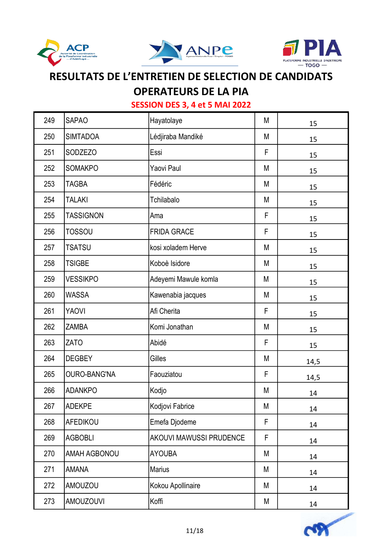





## **OPERATEURS DE LA PIA**

| 249 | <b>SAPAO</b>        | Hayatolaye                     | M | 15   |
|-----|---------------------|--------------------------------|---|------|
| 250 | <b>SIMTADOA</b>     | Lédjiraba Mandiké              | М | 15   |
| 251 | <b>SODZEZO</b>      | Essi                           | F | 15   |
| 252 | <b>SOMAKPO</b>      | Yaovi Paul                     | M | 15   |
| 253 | <b>TAGBA</b>        | Fédéric                        | M | 15   |
| 254 | <b>TALAKI</b>       | Tchilabalo                     | M | 15   |
| 255 | <b>TASSIGNON</b>    | Ama                            | F | 15   |
| 256 | <b>TOSSOU</b>       | <b>FRIDA GRACE</b>             | F | 15   |
| 257 | <b>TSATSU</b>       | kosi xoladem Herve             | M | 15   |
| 258 | <b>TSIGBE</b>       | Koboè Isidore                  | М | 15   |
| 259 | <b>VESSIKPO</b>     | Adeyemi Mawule komla           | M | 15   |
| 260 | <b>WASSA</b>        | Kawenabia jacques              | М | 15   |
| 261 | YAOVI               | Afi Cherita                    | F | 15   |
| 262 | <b>ZAMBA</b>        | Komi Jonathan                  | M | 15   |
| 263 | <b>ZATO</b>         | Abidé                          | F | 15   |
| 264 | <b>DEGBEY</b>       | Gilles                         | M | 14,5 |
| 265 | <b>OURO-BANG'NA</b> | Faouziatou                     | F | 14,5 |
| 266 | <b>ADANKPO</b>      | Kodjo                          | M | 14   |
| 267 | <b>ADEKPE</b>       | Kodjovi Fabrice                | M | 14   |
| 268 | AFEDIKOU            | Emefa Djodeme                  | F | 14   |
| 269 | <b>AGBOBLI</b>      | <b>AKOUVI MAWUSSI PRUDENCE</b> | F | 14   |
| 270 | <b>AMAH AGBONOU</b> | <b>AYOUBA</b>                  | M | 14   |
| 271 | <b>AMANA</b>        | <b>Marius</b>                  | M | 14   |
| 272 | <b>AMOUZOU</b>      | Kokou Apollinaire              | M | 14   |
| 273 | <b>AMOUZOUVI</b>    | Koffi                          | М | 14   |

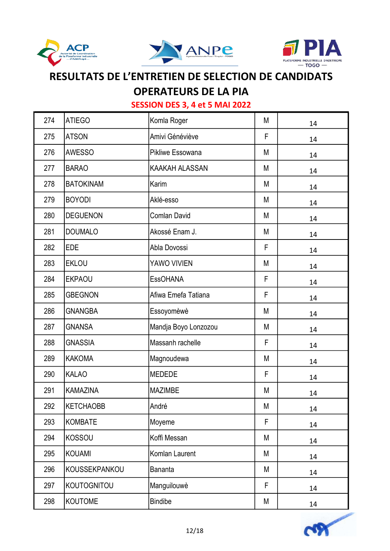





## OPERATEURS DE LA PIA

| 274 | <b>ATIEGO</b>      | Komla Roger           | M | 14 |
|-----|--------------------|-----------------------|---|----|
| 275 | <b>ATSON</b>       | Amivi Généviève       | F | 14 |
| 276 | <b>AWESSO</b>      | Pikliwe Essowana      | M | 14 |
| 277 | <b>BARAO</b>       | <b>KAAKAH ALASSAN</b> | M | 14 |
| 278 | <b>BATOKINAM</b>   | Karim                 | M | 14 |
| 279 | <b>BOYODI</b>      | Aklé-esso             | M | 14 |
| 280 | <b>DEGUENON</b>    | <b>Comlan David</b>   | М | 14 |
| 281 | <b>DOUMALO</b>     | Akossé Enam J.        | M | 14 |
| 282 | <b>EDE</b>         | Abla Dovossi          | F | 14 |
| 283 | <b>EKLOU</b>       | YAWO VIVIEN           | M | 14 |
| 284 | <b>EKPAOU</b>      | <b>EssOHANA</b>       | F | 14 |
| 285 | <b>GBEGNON</b>     | Afiwa Emefa Tatiana   | F | 14 |
| 286 | <b>GNANGBA</b>     | Essoyomèwè            | M | 14 |
| 287 | <b>GNANSA</b>      | Mandja Boyo Lonzozou  | M | 14 |
| 288 | <b>GNASSIA</b>     | Massanh rachelle      | F | 14 |
| 289 | <b>KAKOMA</b>      | Magnoudewa            | М | 14 |
| 290 | <b>KALAO</b>       | <b>MEDEDE</b>         | F | 14 |
| 291 | <b>KAMAZINA</b>    | <b>MAZIMBE</b>        | M | 14 |
| 292 | <b>KETCHAOBB</b>   | André                 | М | 14 |
| 293 | <b>KOMBATE</b>     | Moyeme                | F | 14 |
| 294 | <b>KOSSOU</b>      | Koffi Messan          | M | 14 |
| 295 | <b>KOUAMI</b>      | Komlan Laurent        | M | 14 |
| 296 | KOUSSEKPANKOU      | <b>Bananta</b>        | M | 14 |
| 297 | <b>KOUTOGNITOU</b> | Manguilouwè           | F | 14 |
| 298 | <b>KOUTOME</b>     | <b>Bindibe</b>        | M | 14 |

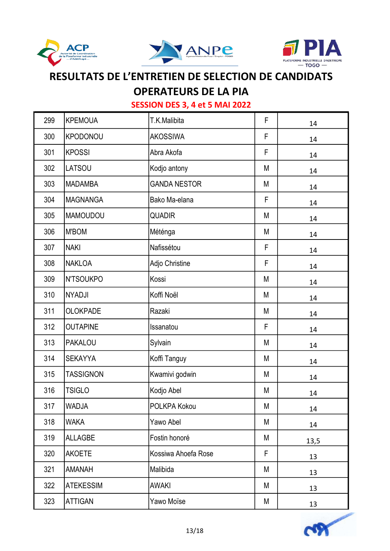





### OPERATEURS DE LA PIA

| 299 | <b>KPEMOUA</b>   | T.K.Malibita        | F | 14   |
|-----|------------------|---------------------|---|------|
| 300 | <b>KPODONOU</b>  | <b>AKOSSIWA</b>     | F | 14   |
| 301 | <b>KPOSSI</b>    | Abra Akofa          | F | 14   |
| 302 | LATSOU           | Kodjo antony        | M | 14   |
| 303 | <b>MADAMBA</b>   | <b>GANDA NESTOR</b> | M | 14   |
| 304 | <b>MAGNANGA</b>  | Bako Ma-elana       | F | 14   |
| 305 | <b>MAMOUDOU</b>  | <b>QUADIR</b>       | M | 14   |
| 306 | <b>M'BOM</b>     | Méténga             | M | 14   |
| 307 | <b>NAKI</b>      | Nafissétou          | F | 14   |
| 308 | <b>NAKLOA</b>    | Adjo Christine      | F | 14   |
| 309 | <b>N'TSOUKPO</b> | Kossi               | M | 14   |
| 310 | <b>NYADJI</b>    | Koffi Noël          | M | 14   |
| 311 | <b>OLOKPADE</b>  | Razaki              | M | 14   |
| 312 | <b>OUTAPINE</b>  | Issanatou           | F | 14   |
| 313 | <b>PAKALOU</b>   | Sylvain             | M | 14   |
| 314 | <b>SEKAYYA</b>   | Koffi Tanguy        | М | 14   |
| 315 | <b>TASSIGNON</b> | Kwamivi godwin      | М | 14   |
| 316 | <b>TSIGLO</b>    | Kodjo Abel          | М | 14   |
| 317 | <b>WADJA</b>     | POLKPA Kokou        | М | 14   |
| 318 | <b>WAKA</b>      | Yawo Abel           | M | 14   |
| 319 | <b>ALLAGBE</b>   | Fostin honoré       | M | 13,5 |
| 320 | <b>AKOETE</b>    | Kossiwa Ahoefa Rose | F | 13   |
| 321 | <b>AMANAH</b>    | Malibida            | M | 13   |
| 322 | <b>ATEKESSIM</b> | AWAKI               | М | 13   |
| 323 | <b>ATTIGAN</b>   | Yawo Moïse          | M | 13   |

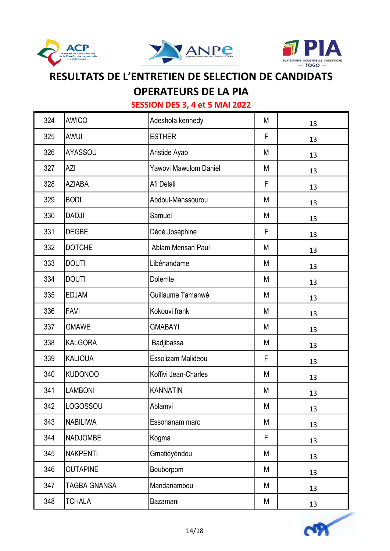





### OPERATEURS DE LA PIA

| 324 | <b>AWICO</b>        | Adeshola kennedy      | M | 13 |
|-----|---------------------|-----------------------|---|----|
| 325 | <b>AWUI</b>         | <b>ESTHER</b>         | F | 13 |
| 326 | <b>AYASSOU</b>      | Aristide Ayao         | M | 13 |
| 327 | AZI                 | Yawovi Mawulom Daniel | M | 13 |
| 328 | <b>AZIABA</b>       | Afi Delali            | F | 13 |
| 329 | <b>BODI</b>         | Abdoul-Manssourou     | M | 13 |
| 330 | <b>DADJI</b>        | Samuel                | M | 13 |
| 331 | <b>DEGBE</b>        | Dédé Joséphine        | F | 13 |
| 332 | <b>DOTCHE</b>       | Ablam Mensan Paul     | M | 13 |
| 333 | <b>DOUTI</b>        | Libénandame           | M | 13 |
| 334 | <b>DOUTI</b>        | Dolemte               | M | 13 |
| 335 | <b>EDJAM</b>        | Guillaume Tamanwè     | M | 13 |
| 336 | <b>FAVI</b>         | Kokouvi frank         | M | 13 |
| 337 | <b>GMAWE</b>        | <b>GMABAYI</b>        | M | 13 |
| 338 | <b>KALGORA</b>      | Badjibassa            | M | 13 |
| 339 | <b>KALIOUA</b>      | Essolizam Malideou    | F | 13 |
| 340 | <b>KUDONOO</b>      | Koffivi Jean-Charles  | M | 13 |
| 341 | <b>LAMBONI</b>      | <b>KANNATIN</b>       | M | 13 |
| 342 | LOGOSSOU            | Ablamvi               | М | 13 |
| 343 | <b>NABILIWA</b>     | Essohanam marc        | M | 13 |
| 344 | <b>NADJOMBE</b>     | Kogma                 | F | 13 |
| 345 | <b>NAKPENTI</b>     | Gmatiéyéndou          | M | 13 |
| 346 | <b>OUTAPINE</b>     | Bouborpom             | M | 13 |
| 347 | <b>TAGBA GNANSA</b> | Mandanambou           | M | 13 |
| 348 | <b>TCHALA</b>       | Bazamani              | M | 13 |

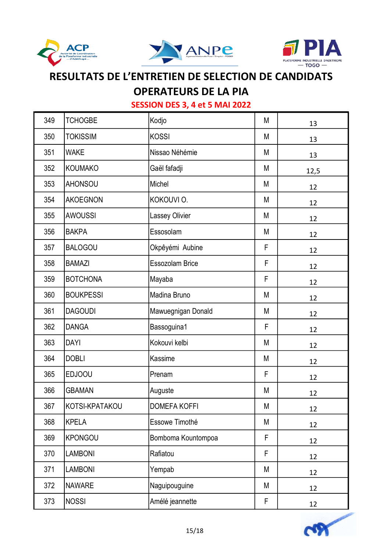





### **OPERATEURS DE LA PIA**

| 349 | <b>TCHOGBE</b>   | Kodjo                  | M           | 13   |
|-----|------------------|------------------------|-------------|------|
| 350 | <b>TOKISSIM</b>  | <b>KOSSI</b>           | M           | 13   |
| 351 | <b>WAKE</b>      | Nissao Néhémie         | M           | 13   |
| 352 | <b>KOUMAKO</b>   | Gaël fafadji           | M           | 12,5 |
| 353 | <b>AHONSOU</b>   | Michel                 | M           | 12   |
| 354 | <b>AKOEGNON</b>  | KOKOUVI O.             | М           | 12   |
| 355 | <b>AWOUSSI</b>   | <b>Lassey Olivier</b>  | M           | 12   |
| 356 | <b>BAKPA</b>     | Essosolam              | M           | 12   |
| 357 | <b>BALOGOU</b>   | Okpêyémi Aubine        | F           | 12   |
| 358 | <b>BAMAZI</b>    | <b>Essozolam Brice</b> | F           | 12   |
| 359 | <b>BOTCHONA</b>  | Mayaba                 | F           | 12   |
| 360 | <b>BOUKPESSI</b> | Madina Bruno           | M           | 12   |
| 361 | <b>DAGOUDI</b>   | Mawuegnigan Donald     | M           | 12   |
| 362 | <b>DANGA</b>     | Bassoguina1            | F           | 12   |
| 363 | <b>DAYI</b>      | Kokouvi kelbi          | M           | 12   |
| 364 | <b>DOBLI</b>     | Kassime                | M           | 12   |
| 365 | <b>EDJOOU</b>    | Prenam                 | $\mathsf F$ | 12   |
| 366 | <b>GBAMAN</b>    | Auguste                | М           | 12   |
| 367 | KOTSI-KPATAKOU   | <b>DOMEFA KOFFI</b>    | M           | 12   |
| 368 | <b>KPELA</b>     | Essowe Timothé         | M           | 12   |
| 369 | <b>KPONGOU</b>   | Bomboma Kountompoa     | F           | 12   |
| 370 | <b>LAMBONI</b>   | Rafiatou               | F           | 12   |
| 371 | <b>LAMBONI</b>   | Yempab                 | M           | 12   |
| 372 | <b>NAWARE</b>    | Naguipouguine          | M           | 12   |
| 373 | <b>NOSSI</b>     | Amélé jeannette        | F           | 12   |

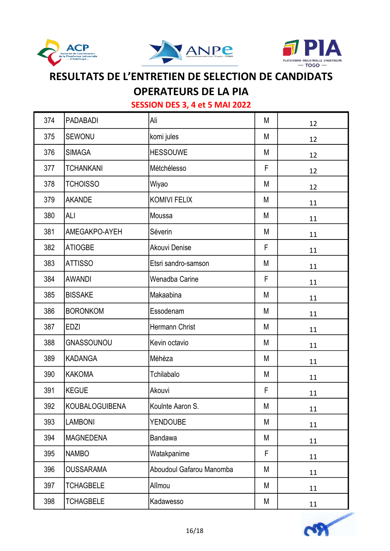





### OPERATEURS DE LA PIA

| 374 | <b>PADABADI</b>  | Ali                      | М | 12 |
|-----|------------------|--------------------------|---|----|
| 375 | <b>SEWONU</b>    | komi jules               | M | 12 |
| 376 | <b>SIMAGA</b>    | <b>HESSOUWE</b>          | M | 12 |
| 377 | <b>TCHANKANI</b> | Métchélesso              | F | 12 |
| 378 | <b>TCHOISSO</b>  | Wiyao                    | M | 12 |
| 379 | <b>AKANDE</b>    | <b>KOMIVI FELIX</b>      | M | 11 |
| 380 | <b>ALI</b>       | Moussa                   | M | 11 |
| 381 | AMEGAKPO-AYEH    | Séverin                  | M | 11 |
| 382 | <b>ATIOGBE</b>   | Akouvi Denise            | F | 11 |
| 383 | <b>ATTISSO</b>   | Etsri sandro-samson      | M | 11 |
| 384 | <b>AWANDI</b>    | Wenadba Carine           | F | 11 |
| 385 | <b>BISSAKE</b>   | Makaabina                | M | 11 |
| 386 | <b>BORONKOM</b>  | Essodenam                | M | 11 |
| 387 | <b>EDZI</b>      | Hermann Christ           | M | 11 |
| 388 | GNASSOUNOU       | Kevin octavio            | M | 11 |
| 389 | <b>KADANGA</b>   | Mèhèza                   | M | 11 |
| 390 | <b>KAKOMA</b>    | Tchilabalo               | М | 11 |
| 391 | <b>KEGUE</b>     | Akouvi                   | F | 11 |
| 392 | KOUBALOGUIBENA   | Koulnte Aaron S.         | M | 11 |
| 393 | <b>LAMBONI</b>   | <b>YENDOUBE</b>          | M | 11 |
| 394 | <b>MAGNEDENA</b> | Bandawa                  | M | 11 |
| 395 | <b>NAMBO</b>     | Watakpanime              | F | 11 |
| 396 | <b>OUSSARAMA</b> | Aboudoul Gafarou Manomba | M | 11 |
| 397 | <b>TCHAGBELE</b> | Alîmou                   | M | 11 |
| 398 | <b>TCHAGBELE</b> | Kadawesso                | M | 11 |

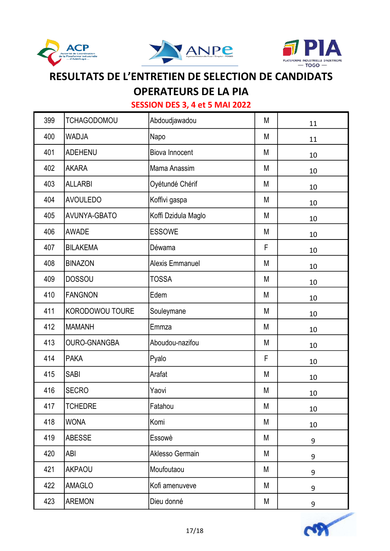





## **OPERATEURS DE LA PIA**

| 399 | <b>TCHAGODOMOU</b>  | Abdoudjawadou         | M | 11 |
|-----|---------------------|-----------------------|---|----|
| 400 | WADJA               | Napo                  | M | 11 |
| 401 | <b>ADEHENU</b>      | <b>Biova Innocent</b> | M | 10 |
| 402 | <b>AKARA</b>        | Mama Anassim          | M | 10 |
| 403 | <b>ALLARBI</b>      | Oyétundé Chérif       | M | 10 |
| 404 | <b>AVOULEDO</b>     | Koffivi gaspa         | M | 10 |
| 405 | AVUNYA-GBATO        | Koffi Dzidula Maglo   | M | 10 |
| 406 | <b>AWADE</b>        | <b>ESSOWE</b>         | M | 10 |
| 407 | <b>BILAKEMA</b>     | Déwama                | F | 10 |
| 408 | <b>BINAZON</b>      | Alexis Emmanuel       | M | 10 |
| 409 | <b>DOSSOU</b>       | <b>TOSSA</b>          | M | 10 |
| 410 | <b>FANGNON</b>      | Edem                  | М | 10 |
| 411 | KORODOWOU TOURE     | Souleymane            | M | 10 |
| 412 | <b>MAMANH</b>       | Emmza                 | M | 10 |
| 413 | <b>OURO-GNANGBA</b> | Aboudou-nazifou       | M | 10 |
| 414 | <b>PAKA</b>         | Pyalo                 | F | 10 |
| 415 | <b>SABI</b>         | Arafat                | M | 10 |
| 416 | <b>SECRO</b>        | Yaovi                 | M | 10 |
| 417 | <b>TCHEDRE</b>      | Fatahou               | М | 10 |
| 418 | <b>WONA</b>         | Komi                  | M | 10 |
| 419 | <b>ABESSE</b>       | Essowè                | M | 9  |
| 420 | ABI                 | Aklesso Germain       | M | 9  |
| 421 | <b>AKPAOU</b>       | Moufoutaou            | M | 9  |
| 422 | <b>AMAGLO</b>       | Kofi amenuveve        | M | 9  |
| 423 | AREMON              | Dieu donné            | M | 9  |